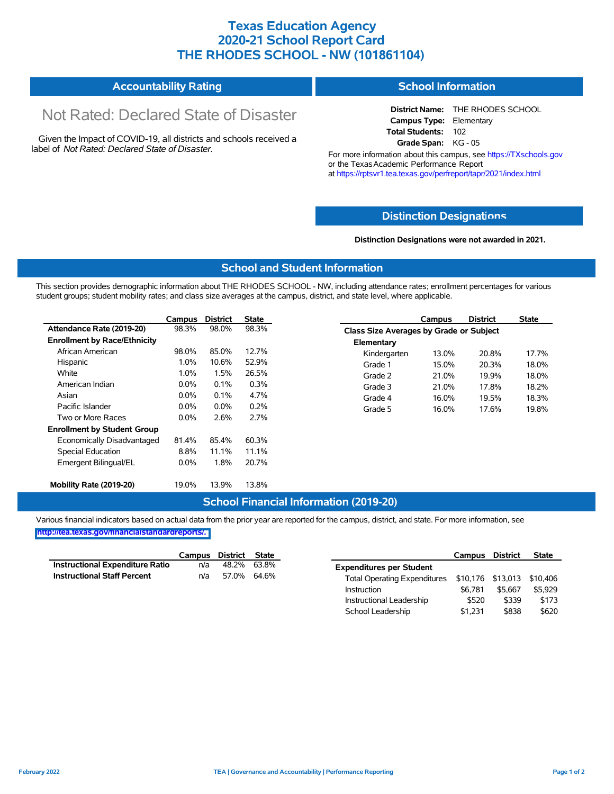## **Texas Education Agency 2020-21 School Report Card THE RHODES SCHOOL - NW (101861104)**

#### **Accountability Rating School Information**

# Not Rated: Declared State of Disaster

Given the Impact of COVID-19, all districts and schools received a label of *Not Rated: Declared State of Disaster.*

**District Name:** THE RHODES SCHOOL **Campus Type:** Elementary **Total Students:** 102 **Grade Span:** KG - 05

For more information about this campus, see https://TXschools.gov or the Texas Academic Performance Report at https://rptsvr1.tea.texas.gov/perfreport/tapr/2021/index.html

#### **Distinction Designat[ions](https://TXschools.gov)**

**Distinction Designations were not awarded in 2021.**

School Leadership  $$1,231$  \$838 \$620

#### **School and Student Information**

This section provides demographic information about THE RHODES SCHOOL - NW, including attendance rates; enrollment percentages for various student groups; student mobility rates; and class size averages at the campus, district, and state level, where applicable.

|                                     | Campus  | <b>District</b> | <b>State</b> |              | Campus                                         | <b>District</b> | <b>State</b> |  |  |  |
|-------------------------------------|---------|-----------------|--------------|--------------|------------------------------------------------|-----------------|--------------|--|--|--|
| Attendance Rate (2019-20)           | 98.3%   | 98.0%           | 98.3%        |              | <b>Class Size Averages by Grade or Subject</b> |                 |              |  |  |  |
| <b>Enrollment by Race/Ethnicity</b> |         |                 |              | Elementary   |                                                |                 |              |  |  |  |
| African American                    | 98.0%   | 85.0%           | 12.7%        | Kindergarten | 13.0%                                          | 20.8%           | 17.7%        |  |  |  |
| Hispanic                            | 1.0%    | 10.6%           | 52.9%        | Grade 1      | 15.0%                                          | 20.3%           | 18.0%        |  |  |  |
| White                               | $1.0\%$ | 1.5%            | 26.5%        | Grade 2      | 21.0%                                          | 19.9%           | 18.0%        |  |  |  |
| American Indian                     | 0.0%    | 0.1%            | 0.3%         | Grade 3      | 21.0%                                          | 17.8%           | 18.2%        |  |  |  |
| Asian                               | $0.0\%$ | 0.1%            | 4.7%         | Grade 4      | 16.0%                                          | 19.5%           | 18.3%        |  |  |  |
| Pacific Islander                    | $0.0\%$ | $0.0\%$         | 0.2%         | Grade 5      | 16.0%                                          | 17.6%           | 19.8%        |  |  |  |
| Two or More Races                   | $0.0\%$ | 2.6%            | 2.7%         |              |                                                |                 |              |  |  |  |
| <b>Enrollment by Student Group</b>  |         |                 |              |              |                                                |                 |              |  |  |  |
| Economically Disadvantaged          | 81.4%   | 85.4%           | 60.3%        |              |                                                |                 |              |  |  |  |
| Special Education                   | 8.8%    | 11.1%           | 11.1%        |              |                                                |                 |              |  |  |  |
| Emergent Bilingual/EL               | $0.0\%$ | 1.8%            | 20.7%        |              |                                                |                 |              |  |  |  |
|                                     |         |                 |              |              |                                                |                 |              |  |  |  |
| Mobility Rate (2019-20)             | 19.0%   | 13.9%           | 13.8%        |              |                                                |                 |              |  |  |  |

#### **School Financial Information (2019-20)**

Various financial indicators based on actual data from the prior year are reported for the campus, district, and state. For more information, see

**[http://tea.texas.gov/financialstandardreports/.](http://tea.texas.gov/financialstandardreports/)**

|                                        | Campus | District State |             |                                                         | Campus  | <b>District</b> | <b>State</b> |
|----------------------------------------|--------|----------------|-------------|---------------------------------------------------------|---------|-----------------|--------------|
| <b>Instructional Expenditure Ratio</b> | n/a    |                | 48.2% 63.8% | <b>Expenditures per Student</b>                         |         |                 |              |
| <b>Instructional Staff Percent</b>     | n/a    |                | 57.0% 64.6% | Total Operating Expenditures \$10,176 \$13,013 \$10,406 |         |                 |              |
|                                        |        |                |             | Instruction                                             | \$6.781 | \$5.667         | \$5.929      |
|                                        |        |                |             | Instructional Leadership                                | \$520   | \$339           | \$173        |